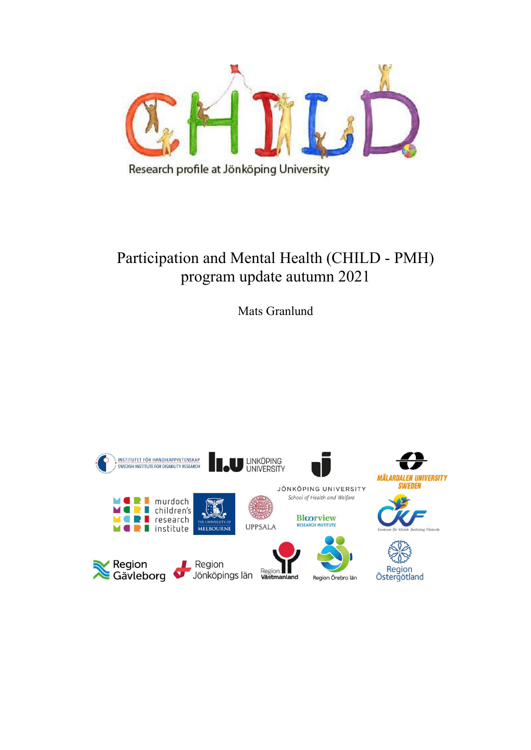

Research profile at Jönköping University

# Participation and Mental Health (CHILD - PMH) program update autumn 2021

Mats Granlund

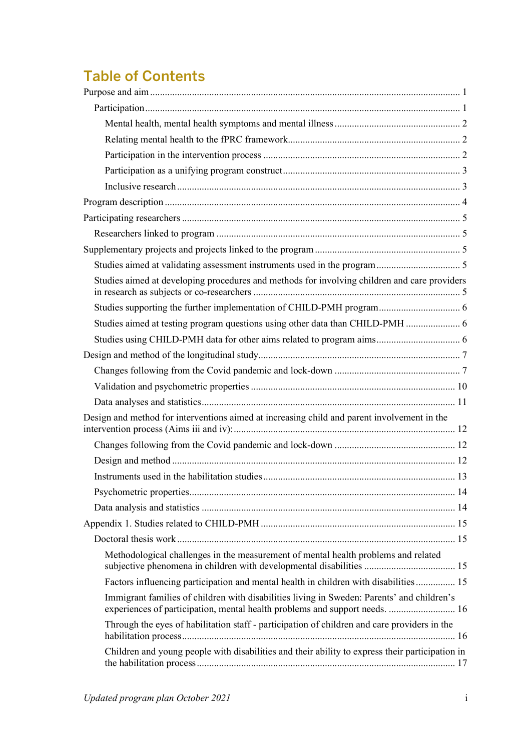# Table of Contents

| Studies aimed at developing procedures and methods for involving children and care providers                                                                              |
|---------------------------------------------------------------------------------------------------------------------------------------------------------------------------|
| Studies supporting the further implementation of CHILD-PMH program 6                                                                                                      |
| Studies aimed at testing program questions using other data than CHILD-PMH  6                                                                                             |
|                                                                                                                                                                           |
|                                                                                                                                                                           |
|                                                                                                                                                                           |
|                                                                                                                                                                           |
|                                                                                                                                                                           |
| Design and method for interventions aimed at increasing child and parent involvement in the                                                                               |
|                                                                                                                                                                           |
|                                                                                                                                                                           |
|                                                                                                                                                                           |
|                                                                                                                                                                           |
|                                                                                                                                                                           |
|                                                                                                                                                                           |
|                                                                                                                                                                           |
| Methodological challenges in the measurement of mental health problems and related<br>subjective phenomena in children with developmental disabilities  15                |
| Factors influencing participation and mental health in children with disabilities 15                                                                                      |
| Immigrant families of children with disabilities living in Sweden: Parents' and children's<br>experiences of participation, mental health problems and support needs.  16 |
| Through the eyes of habilitation staff - participation of children and care providers in the                                                                              |
| Children and young people with disabilities and their ability to express their participation in                                                                           |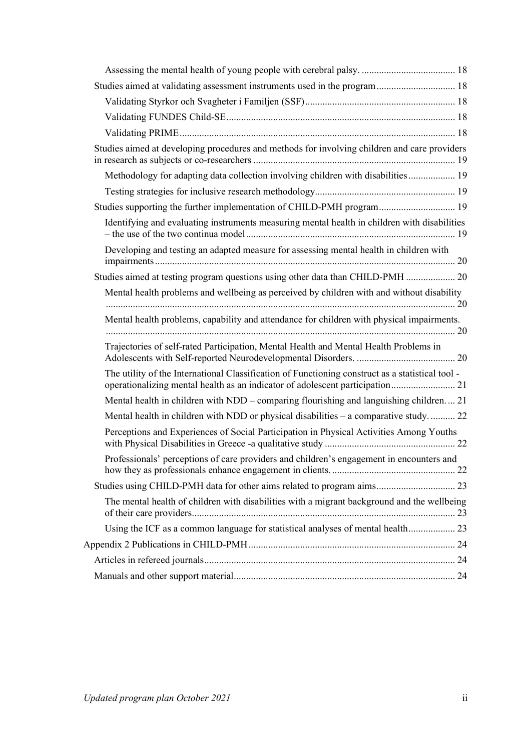| Studies aimed at validating assessment instruments used in the program 18                                                                                                          |  |
|------------------------------------------------------------------------------------------------------------------------------------------------------------------------------------|--|
|                                                                                                                                                                                    |  |
|                                                                                                                                                                                    |  |
|                                                                                                                                                                                    |  |
| Studies aimed at developing procedures and methods for involving children and care providers                                                                                       |  |
| Methodology for adapting data collection involving children with disabilities  19                                                                                                  |  |
|                                                                                                                                                                                    |  |
| Studies supporting the further implementation of CHILD-PMH program 19                                                                                                              |  |
| Identifying and evaluating instruments measuring mental health in children with disabilities                                                                                       |  |
| Developing and testing an adapted measure for assessing mental health in children with                                                                                             |  |
| Studies aimed at testing program questions using other data than CHILD-PMH  20                                                                                                     |  |
| Mental health problems and wellbeing as perceived by children with and without disability                                                                                          |  |
| Mental health problems, capability and attendance for children with physical impairments.<br>Trajectories of self-rated Participation, Mental Health and Mental Health Problems in |  |
| The utility of the International Classification of Functioning construct as a statistical tool -                                                                                   |  |
| Mental health in children with NDD – comparing flourishing and languishing children 21                                                                                             |  |
| Mental health in children with NDD or physical disabilities - a comparative study 22                                                                                               |  |
| Perceptions and Experiences of Social Participation in Physical Activities Among Youths                                                                                            |  |
| Professionals' perceptions of care providers and children's engagement in encounters and                                                                                           |  |
| Studies using CHILD-PMH data for other aims related to program aims 23                                                                                                             |  |
| The mental health of children with disabilities with a migrant background and the wellbeing                                                                                        |  |
|                                                                                                                                                                                    |  |
|                                                                                                                                                                                    |  |
|                                                                                                                                                                                    |  |
|                                                                                                                                                                                    |  |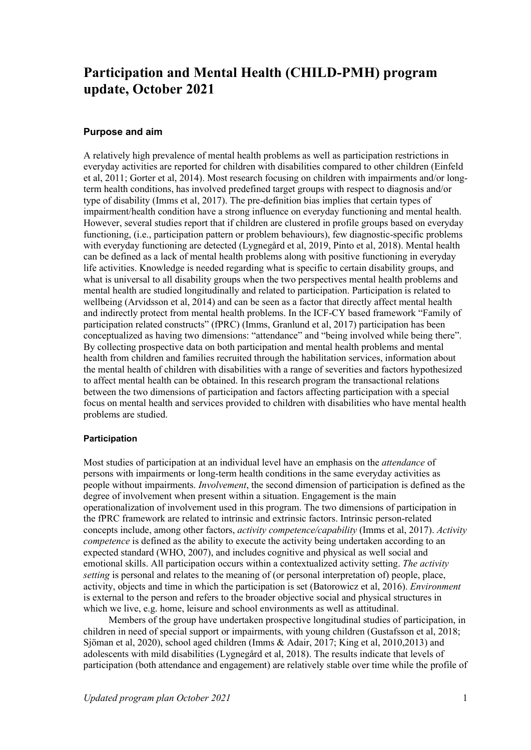## **Participation and Mental Health (CHILD-PMH) program update, October 2021**

#### <span id="page-3-0"></span>**Purpose and aim**

A relatively high prevalence of mental health problems as well as participation restrictions in everyday activities are reported for children with disabilities compared to other children (Einfeld et al, 2011; Gorter et al, 2014). Most research focusing on children with impairments and/or longterm health conditions, has involved predefined target groups with respect to diagnosis and/or type of disability (Imms et al, 2017). The pre-definition bias implies that certain types of impairment/health condition have a strong influence on everyday functioning and mental health. However, several studies report that if children are clustered in profile groups based on everyday functioning, (i.e., participation pattern or problem behaviours), few diagnostic-specific problems with everyday functioning are detected (Lygnegård et al, 2019, Pinto et al, 2018). Mental health can be defined as a lack of mental health problems along with positive functioning in everyday life activities. Knowledge is needed regarding what is specific to certain disability groups, and what is universal to all disability groups when the two perspectives mental health problems and mental health are studied longitudinally and related to participation. Participation is related to wellbeing (Arvidsson et al, 2014) and can be seen as a factor that directly affect mental health and indirectly protect from mental health problems. In the ICF-CY based framework "Family of participation related constructs" (fPRC) (Imms, Granlund et al, 2017) participation has been conceptualized as having two dimensions: "attendance" and "being involved while being there". By collecting prospective data on both participation and mental health problems and mental health from children and families recruited through the habilitation services, information about the mental health of children with disabilities with a range of severities and factors hypothesized to affect mental health can be obtained. In this research program the transactional relations between the two dimensions of participation and factors affecting participation with a special focus on mental health and services provided to children with disabilities who have mental health problems are studied.

#### <span id="page-3-1"></span>**Participation**

Most studies of participation at an individual level have an emphasis on the *attendance* of persons with impairments or long-term health conditions in the same everyday activities as people without impairments. *Involvement*, the second dimension of participation is defined as the degree of involvement when present within a situation. Engagement is the main operationalization of involvement used in this program. The two dimensions of participation in the fPRC framework are related to intrinsic and extrinsic factors. Intrinsic person-related concepts include, among other factors, *activity competence/capability* (Imms et al, 2017). *Activity competence* is defined as the ability to execute the activity being undertaken according to an expected standard (WHO, 2007), and includes cognitive and physical as well social and emotional skills. All participation occurs within a contextualized activity setting. *The activity setting* is personal and relates to the meaning of (or personal interpretation of) people, place, activity, objects and time in which the participation is set (Batorowicz et al, 2016). *Environment* is external to the person and refers to the broader objective social and physical structures in which we live, e.g. home, leisure and school environments as well as attitudinal.

Members of the group have undertaken prospective longitudinal studies of participation, in children in need of special support or impairments, with young children (Gustafsson et al, 2018; Sjöman et al, 2020), school aged children (Imms & Adair, 2017; King et al, 2010,2013) and adolescents with mild disabilities (Lygnegård et al, 2018). The results indicate that levels of participation (both attendance and engagement) are relatively stable over time while the profile of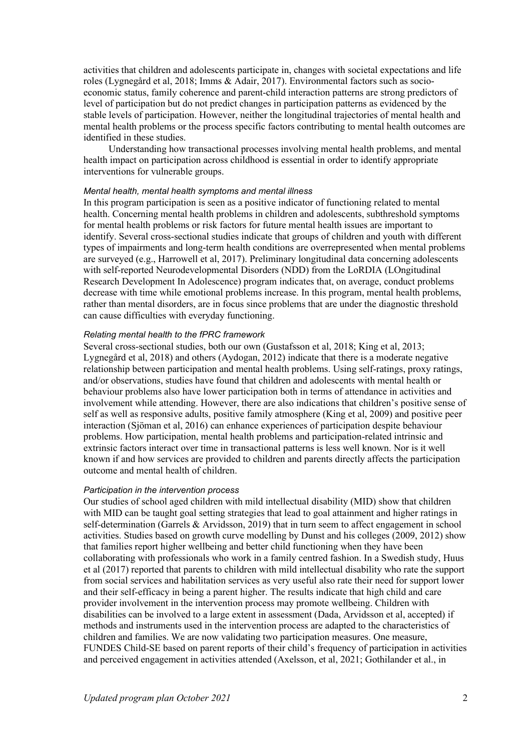activities that children and adolescents participate in, changes with societal expectations and life roles (Lygnegård et al, 2018; Imms & Adair, 2017). Environmental factors such as socioeconomic status, family coherence and parent-child interaction patterns are strong predictors of level of participation but do not predict changes in participation patterns as evidenced by the stable levels of participation. However, neither the longitudinal trajectories of mental health and mental health problems or the process specific factors contributing to mental health outcomes are identified in these studies.

Understanding how transactional processes involving mental health problems, and mental health impact on participation across childhood is essential in order to identify appropriate interventions for vulnerable groups.

#### <span id="page-4-0"></span>*Mental health, mental health symptoms and mental illness*

In this program participation is seen as a positive indicator of functioning related to mental health. Concerning mental health problems in children and adolescents, subthreshold symptoms for mental health problems or risk factors for future mental health issues are important to identify. Several cross-sectional studies indicate that groups of children and youth with different types of impairments and long-term health conditions are overrepresented when mental problems are surveyed (e.g., Harrowell et al, 2017). Preliminary longitudinal data concerning adolescents with self-reported Neurodevelopmental Disorders (NDD) from the LoRDIA (LOngitudinal Research Development In Adolescence) program indicates that, on average, conduct problems decrease with time while emotional problems increase. In this program, mental health problems, rather than mental disorders, are in focus since problems that are under the diagnostic threshold can cause difficulties with everyday functioning.

#### <span id="page-4-1"></span>*Relating mental health to the fPRC framework*

Several cross-sectional studies, both our own (Gustafsson et al, 2018; King et al, 2013; Lygnegård et al, 2018) and others (Aydogan, 2012) indicate that there is a moderate negative relationship between participation and mental health problems. Using self-ratings, proxy ratings, and/or observations, studies have found that children and adolescents with mental health or behaviour problems also have lower participation both in terms of attendance in activities and involvement while attending. However, there are also indications that children's positive sense of self as well as responsive adults, positive family atmosphere (King et al, 2009) and positive peer interaction (Sjöman et al, 2016) can enhance experiences of participation despite behaviour problems. How participation, mental health problems and participation-related intrinsic and extrinsic factors interact over time in transactional patterns is less well known. Nor is it well known if and how services are provided to children and parents directly affects the participation outcome and mental health of children.

#### <span id="page-4-2"></span>*Participation in the intervention process*

Our studies of school aged children with mild intellectual disability (MID) show that children with MID can be taught goal setting strategies that lead to goal attainment and higher ratings in self-determination (Garrels & Arvidsson, 2019) that in turn seem to affect engagement in school activities. Studies based on growth curve modelling by Dunst and his colleges (2009, 2012) show that families report higher wellbeing and better child functioning when they have been collaborating with professionals who work in a family centred fashion. In a Swedish study, Huus et al (2017) reported that parents to children with mild intellectual disability who rate the support from social services and habilitation services as very useful also rate their need for support lower and their self-efficacy in being a parent higher. The results indicate that high child and care provider involvement in the intervention process may promote wellbeing. Children with disabilities can be involved to a large extent in assessment (Dada, Arvidsson et al, accepted) if methods and instruments used in the intervention process are adapted to the characteristics of children and families. We are now validating two participation measures. One measure, FUNDES Child-SE based on parent reports of their child's frequency of participation in activities and perceived engagement in activities attended (Axelsson, et al, 2021; Gothilander et al., in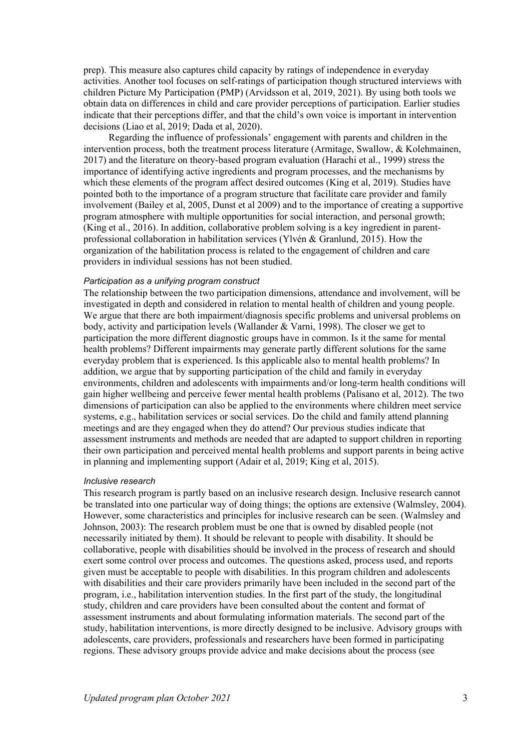prep). This measure also captures child capacity by ratings of independence in everyday activities. Another tool focuses on self-ratings of participation though structured interviews with children Picture My Participation (PMP) (Arvidsson et al, 2019, 2021). By using both tools we obtain data on differences in child and care provider perceptions of participation. Earlier studies indicate that their perceptions differ, and that the child's own voice is important in intervention decisions (Liao et al, 2019; Dada et al, 2020).

Regarding the influence of professionals' engagement with parents and children in the intervention process, both the treatment process literature (Armitage, Swallow, & Kolehmainen, 2017) and the literature on theory-based program evaluation (Harachi et al., 1999) stress the importance of identifying active ingredients and program processes, and the mechanisms by which these elements of the program affect desired outcomes (King et al, 2019). Studies have pointed both to the importance of a program structure that facilitate care provider and family involvement (Bailey et al, 2005, Dunst et al 2009) and to the importance of creating a supportive program atmosphere with multiple opportunities for social interaction, and personal growth; (King et al., 2016). In addition, collaborative problem solving is a key ingredient in parentprofessional collaboration in habilitation services (Ylvén & Granlund, 2015). How the organization of the habilitation process is related to the engagement of children and care providers in individual sessions has not been studied.

#### <span id="page-5-0"></span>*Participation as a unifying program construct*

The relationship between the two participation dimensions, attendance and involvement, will be investigated in depth and considered in relation to mental health of children and young people. We argue that there are both impairment/diagnosis specific problems and universal problems on body, activity and participation levels (Wallander & Varni, 1998). The closer we get to participation the more different diagnostic groups have in common. Is it the same for mental health problems? Different impairments may generate partly different solutions for the same everyday problem that is experienced. Is this applicable also to mental health problems? In addition, we argue that by supporting participation of the child and family in everyday environments, children and adolescents with impairments and/or long-term health conditions will gain higher wellbeing and perceive fewer mental health problems (Palisano et al, 2012). The two dimensions of participation can also be applied to the environments where children meet service systems, e.g., habilitation services or social services. Do the child and family attend planning meetings and are they engaged when they do attend? Our previous studies indicate that assessment instruments and methods are needed that are adapted to support children in reporting their own participation and perceived mental health problems and support parents in being active in planning and implementing support (Adair et al, 2019; King et al, 2015).

#### <span id="page-5-1"></span>*Inclusive research*

This research program is partly based on an inclusive research design. Inclusive research cannot be translated into one particular way of doing things; the options are extensive (Walmsley, 2004). However, some characteristics and principles for inclusive research can be seen. (Walmsley and Johnson, 2003): The research problem must be one that is owned by disabled people (not necessarily initiated by them). It should be relevant to people with disability. It should be collaborative, people with disabilities should be involved in the process of research and should exert some control over process and outcomes. The questions asked, process used, and reports given must be acceptable to people with disabilities. In this program children and adolescents with disabilities and their care providers primarily have been included in the second part of the program, i.e., habilitation intervention studies. In the first part of the study, the longitudinal study, children and care providers have been consulted about the content and format of assessment instruments and about formulating information materials. The second part of the study, habilitation interventions, is more directly designed to be inclusive. Advisory groups with adolescents, care providers, professionals and researchers have been formed in participating regions. These advisory groups provide advice and make decisions about the process (see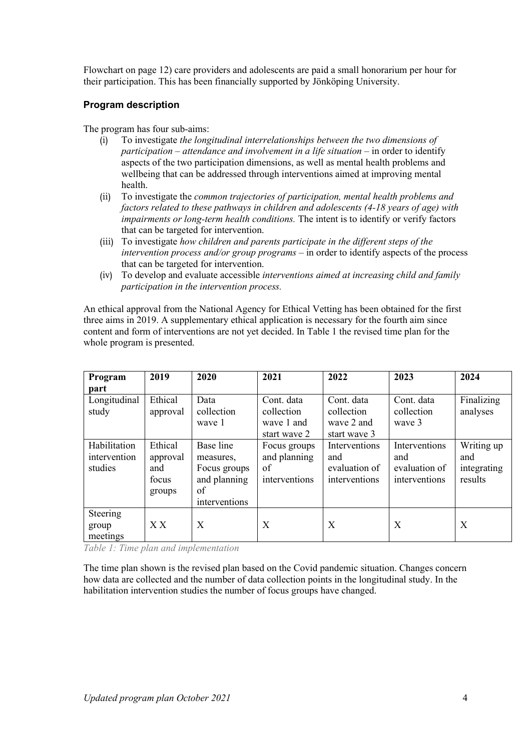Flowchart on page [12\)](#page-14-3) care providers and adolescents are paid a small honorarium per hour for their participation. This has been financially supported by Jönköping University.

## <span id="page-6-0"></span>**Program description**

The program has four sub-aims:

- (i) To investigate *the longitudinal interrelationships between the two dimensions of participation – attendance and involvement in a life situation* – in order to identify aspects of the two participation dimensions, as well as mental health problems and wellbeing that can be addressed through interventions aimed at improving mental health.
- (ii) To investigate the *common trajectories of participation, mental health problems and factors related to these pathways in children and adolescents (4-18 years of age) with impairments or long-term health conditions.* The intent is to identify or verify factors that can be targeted for intervention.
- (iii) To investigate *how children and parents participate in the different steps of the intervention process and/or group programs* – in order to identify aspects of the process that can be targeted for intervention.
- (iv) To develop and evaluate accessible *interventions aimed at increasing child and family participation in the intervention process.*

An ethical approval from the National Agency for Ethical Vetting has been obtained for the first three aims in 2019. A supplementary ethical application is necessary for the fourth aim since content and form of interventions are not yet decided. In Table 1 the revised time plan for the whole program is presented.

| Program                                 | 2019                                          | 2020                                                                          | 2021                                                   | 2022                                                   | 2023                                                   | 2024                                        |
|-----------------------------------------|-----------------------------------------------|-------------------------------------------------------------------------------|--------------------------------------------------------|--------------------------------------------------------|--------------------------------------------------------|---------------------------------------------|
| part                                    |                                               |                                                                               |                                                        |                                                        |                                                        |                                             |
| Longitudinal<br>study                   | Ethical<br>approval                           | Data<br>collection<br>wave 1                                                  | Cont. data<br>collection<br>wave 1 and<br>start wave 2 | Cont. data<br>collection<br>wave 2 and<br>start wave 3 | Cont. data<br>collection<br>wave 3                     | Finalizing<br>analyses                      |
| Habilitation<br>intervention<br>studies | Ethical<br>approval<br>and<br>focus<br>groups | Base line<br>measures,<br>Focus groups<br>and planning<br>of<br>interventions | Focus groups<br>and planning<br>of<br>interventions    | Interventions<br>and<br>evaluation of<br>interventions | Interventions<br>and<br>evaluation of<br>interventions | Writing up<br>and<br>integrating<br>results |
| Steering<br>group<br>meetings           | X X                                           | $\boldsymbol{X}$                                                              | X                                                      | X                                                      | X                                                      | X                                           |

*Table 1: Time plan and implementation*

The time plan shown is the revised plan based on the Covid pandemic situation. Changes concern how data are collected and the number of data collection points in the longitudinal study. In the habilitation intervention studies the number of focus groups have changed.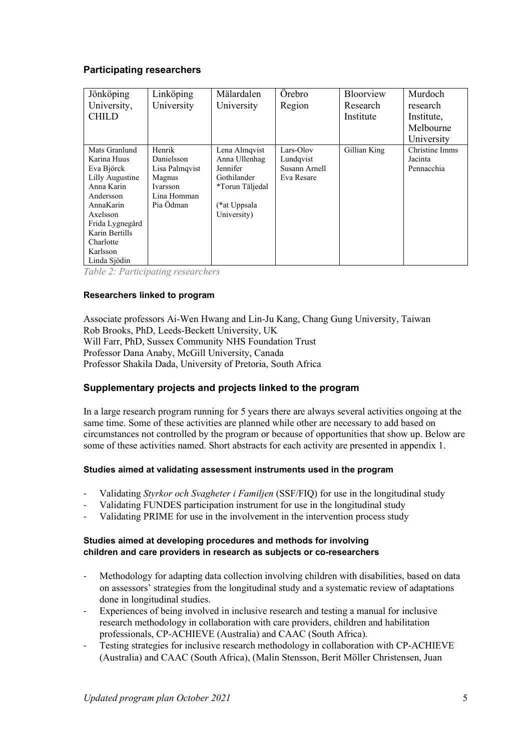## <span id="page-7-0"></span>**Participating researchers**

| Jönköping       | Linköping      | Mälardalen      | <b>Orebro</b> | <b>Bloorview</b> | Murdoch        |
|-----------------|----------------|-----------------|---------------|------------------|----------------|
| University,     | University     | University      | Region        | Research         | research       |
| CHILD           |                |                 |               | Institute        | Institute,     |
|                 |                |                 |               |                  | Melbourne      |
|                 |                |                 |               |                  | University     |
| Mats Granlund   | Henrik         | Lena Almqvist   | Lars-Olov     | Gillian King     | Christine Imms |
| Karina Huus     | Danielsson     | Anna Ullenhag   | Lundqvist     |                  | Jacinta        |
| Eva Björck      | Lisa Palmqvist | Jennifer        | Susann Arnell |                  | Pennacchia     |
| Lilly Augustine | Magnus         | Gothilander     | Eva Resare    |                  |                |
| Anna Karin      | Ivarsson       | *Torun Täljedal |               |                  |                |
| Andersson       | Lina Homman    |                 |               |                  |                |
| AnnaKarin       | Pia Ödman      | (*at Uppsala    |               |                  |                |
| Axelsson        |                | University)     |               |                  |                |
| Frida Lygnegård |                |                 |               |                  |                |
| Karin Bertills  |                |                 |               |                  |                |
| Charlotte       |                |                 |               |                  |                |
| Karlsson        |                |                 |               |                  |                |
| Linda Sjödin    |                |                 |               |                  |                |

*Table 2: Participating researchers*

## <span id="page-7-1"></span>**Researchers linked to program**

Associate professors Ai-Wen Hwang and Lin-Ju Kang, Chang Gung University, Taiwan Rob Brooks, PhD, Leeds-Beckett University, UK Will Farr, PhD, Sussex Community NHS Foundation Trust Professor Dana Anaby, McGill University, Canada Professor Shakila Dada, University of Pretoria, South Africa

## <span id="page-7-2"></span>**Supplementary projects and projects linked to the program**

In a large research program running for 5 years there are always several activities ongoing at the same time. Some of these activities are planned while other are necessary to add based on circumstances not controlled by the program or because of opportunities that show up. Below are some of these activities named. Short abstracts for each activity are presented in appendix 1.

#### <span id="page-7-3"></span>**Studies aimed at validating assessment instruments used in the program**

- Validating *Styrkor och Svagheter i Familjen* (SSF/FIQ) for use in the longitudinal study
- Validating FUNDES participation instrument for use in the longitudinal study
- Validating PRIME for use in the involvement in the intervention process study

## <span id="page-7-4"></span>**Studies aimed at developing procedures and methods for involving children and care providers in research as subjects or co-researchers**

- Methodology for adapting data collection involving children with disabilities, based on data on assessors' strategies from the longitudinal study and a systematic review of adaptations done in longitudinal studies.
- Experiences of being involved in inclusive research and testing a manual for inclusive research methodology in collaboration with care providers, children and habilitation professionals, CP-ACHIEVE (Australia) and CAAC (South Africa).
- Testing strategies for inclusive research methodology in collaboration with CP-ACHIEVE (Australia) and CAAC (South Africa), (Malin Stensson, Berit Möller Christensen, Juan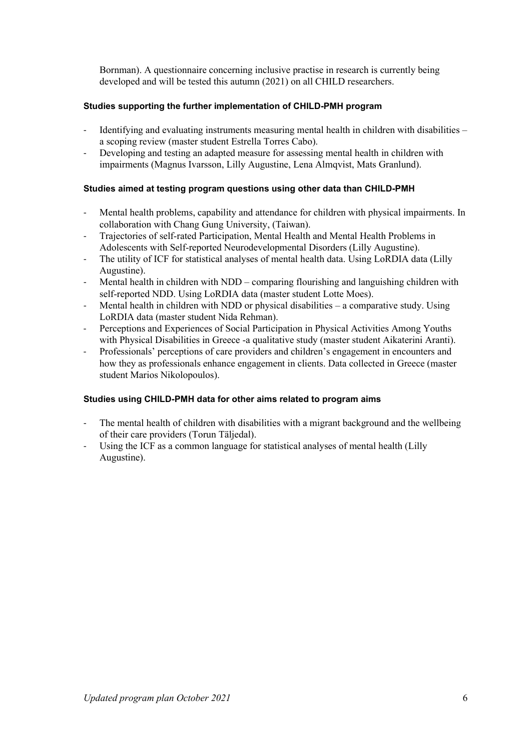Bornman). A questionnaire concerning inclusive practise in research is currently being developed and will be tested this autumn (2021) on all CHILD researchers.

## <span id="page-8-0"></span>**Studies supporting the further implementation of CHILD-PMH program**

- Identifying and evaluating instruments measuring mental health in children with disabilities a scoping review (master student Estrella Torres Cabo).
- Developing and testing an adapted measure for assessing mental health in children with impairments (Magnus Ivarsson, Lilly Augustine, Lena Almqvist, Mats Granlund).

## <span id="page-8-1"></span>**Studies aimed at testing program questions using other data than CHILD-PMH**

- Mental health problems, capability and attendance for children with physical impairments. In collaboration with Chang Gung University, (Taiwan).
- Trajectories of self-rated Participation, Mental Health and Mental Health Problems in Adolescents with Self-reported Neurodevelopmental Disorders (Lilly Augustine).
- The utility of ICF for statistical analyses of mental health data. Using LoRDIA data (Lilly Augustine).
- Mental health in children with NDD comparing flourishing and languishing children with self-reported NDD. Using LoRDIA data (master student Lotte Moes).
- Mental health in children with NDD or physical disabilities  $-$  a comparative study. Using LoRDIA data (master student Nida Rehman).
- Perceptions and Experiences of Social Participation in Physical Activities Among Youths with Physical Disabilities in Greece -a qualitative study (master student Aikaterini Aranti).
- Professionals' perceptions of care providers and children's engagement in encounters and how they as professionals enhance engagement in clients. Data collected in Greece (master student Marios Nikolopoulos).

#### <span id="page-8-2"></span>**Studies using CHILD-PMH data for other aims related to program aims**

- The mental health of children with disabilities with a migrant background and the wellbeing of their care providers (Torun Täljedal).
- Using the ICF as a common language for statistical analyses of mental health (Lilly Augustine).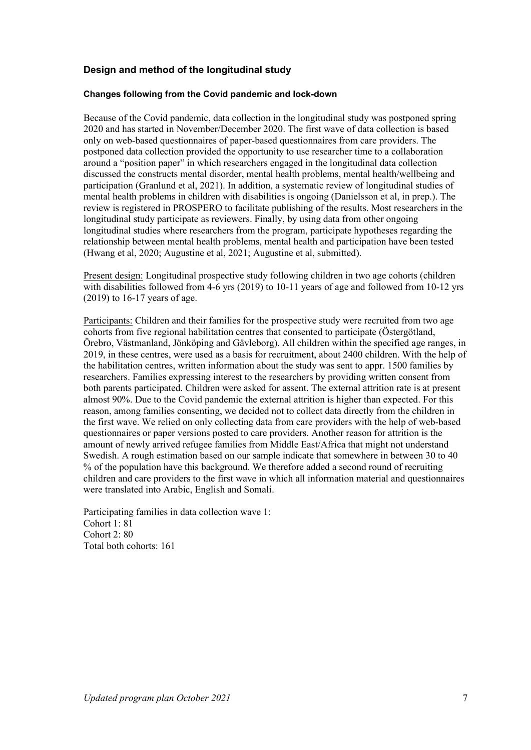## <span id="page-9-0"></span>**Design and method of the longitudinal study**

#### <span id="page-9-1"></span>**Changes following from the Covid pandemic and lock-down**

Because of the Covid pandemic, data collection in the longitudinal study was postponed spring 2020 and has started in November/December 2020. The first wave of data collection is based only on web-based questionnaires of paper-based questionnaires from care providers. The postponed data collection provided the opportunity to use researcher time to a collaboration around a "position paper" in which researchers engaged in the longitudinal data collection discussed the constructs mental disorder, mental health problems, mental health/wellbeing and participation (Granlund et al, 2021). In addition, a systematic review of longitudinal studies of mental health problems in children with disabilities is ongoing (Danielsson et al, in prep.). The review is registered in PROSPERO to facilitate publishing of the results. Most researchers in the longitudinal study participate as reviewers. Finally, by using data from other ongoing longitudinal studies where researchers from the program, participate hypotheses regarding the relationship between mental health problems, mental health and participation have been tested (Hwang et al, 2020; Augustine et al, 2021; Augustine et al, submitted).

Present design: Longitudinal prospective study following children in two age cohorts (children with disabilities followed from 4-6 yrs (2019) to 10-11 years of age and followed from 10-12 yrs (2019) to 16-17 years of age.

Participants: Children and their families for the prospective study were recruited from two age cohorts from five regional habilitation centres that consented to participate (Östergötland, Örebro, Västmanland, Jönköping and Gävleborg). All children within the specified age ranges, in 2019, in these centres, were used as a basis for recruitment, about 2400 children. With the help of the habilitation centres, written information about the study was sent to appr. 1500 families by researchers. Families expressing interest to the researchers by providing written consent from both parents participated. Children were asked for assent. The external attrition rate is at present almost 90%. Due to the Covid pandemic the external attrition is higher than expected. For this reason, among families consenting, we decided not to collect data directly from the children in the first wave. We relied on only collecting data from care providers with the help of web-based questionnaires or paper versions posted to care providers. Another reason for attrition is the amount of newly arrived refugee families from Middle East/Africa that might not understand Swedish. A rough estimation based on our sample indicate that somewhere in between 30 to 40 % of the population have this background. We therefore added a second round of recruiting children and care providers to the first wave in which all information material and questionnaires were translated into Arabic, English and Somali.

Participating families in data collection wave 1: Cohort 1: 81 Cohort 2: 80 Total both cohorts: 161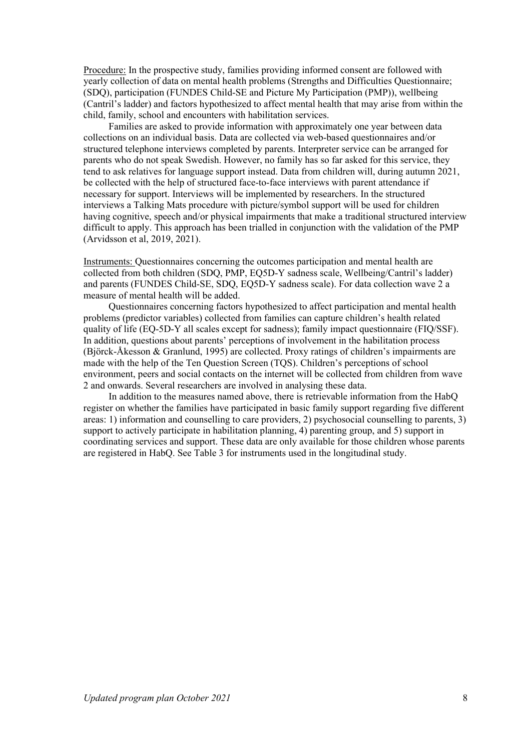Procedure: In the prospective study, families providing informed consent are followed with yearly collection of data on mental health problems (Strengths and Difficulties Questionnaire; (SDQ), participation (FUNDES Child-SE and Picture My Participation (PMP)), wellbeing (Cantril's ladder) and factors hypothesized to affect mental health that may arise from within the child, family, school and encounters with habilitation services.

Families are asked to provide information with approximately one year between data collections on an individual basis. Data are collected via web-based questionnaires and/or structured telephone interviews completed by parents. Interpreter service can be arranged for parents who do not speak Swedish. However, no family has so far asked for this service, they tend to ask relatives for language support instead. Data from children will, during autumn 2021, be collected with the help of structured face-to-face interviews with parent attendance if necessary for support. Interviews will be implemented by researchers. In the structured interviews a Talking Mats procedure with picture/symbol support will be used for children having cognitive, speech and/or physical impairments that make a traditional structured interview difficult to apply. This approach has been trialled in conjunction with the validation of the PMP (Arvidsson et al, 2019, 2021).

Instruments: Questionnaires concerning the outcomes participation and mental health are collected from both children (SDQ, PMP, EQ5D-Y sadness scale, Wellbeing/Cantril's ladder) and parents (FUNDES Child-SE, SDQ, EQ5D-Y sadness scale). For data collection wave 2 a measure of mental health will be added.

Questionnaires concerning factors hypothesized to affect participation and mental health problems (predictor variables) collected from families can capture children's health related quality of life (EQ-5D-Y all scales except for sadness); family impact questionnaire (FIQ/SSF). In addition, questions about parents' perceptions of involvement in the habilitation process (Björck-Åkesson & Granlund, 1995) are collected. Proxy ratings of children's impairments are made with the help of the Ten Question Screen (TQS). Children's perceptions of school environment, peers and social contacts on the internet will be collected from children from wave 2 and onwards. Several researchers are involved in analysing these data.

In addition to the measures named above, there is retrievable information from the HabQ register on whether the families have participated in basic family support regarding five different areas: 1) information and counselling to care providers, 2) psychosocial counselling to parents, 3) support to actively participate in habilitation planning, 4) parenting group, and 5) support in coordinating services and support. These data are only available for those children whose parents are registered in HabQ. See [Table 3](#page-11-0) for instruments used in the longitudinal study.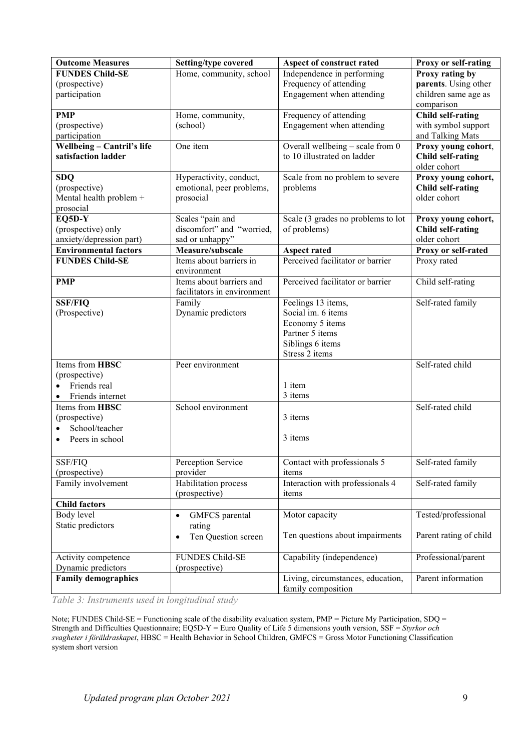| <b>Outcome Measures</b>            | Setting/type covered          | Aspect of construct rated          | <b>Proxy or self-rating</b>              |
|------------------------------------|-------------------------------|------------------------------------|------------------------------------------|
| <b>FUNDES Child-SE</b>             | Home, community, school       | Independence in performing         | Proxy rating by                          |
| (prospective)                      |                               | Frequency of attending             | parents. Using other                     |
| participation                      |                               | Engagement when attending          | children same age as                     |
|                                    |                               |                                    | comparison                               |
| <b>PMP</b>                         | Home, community,              | Frequency of attending             | <b>Child self-rating</b>                 |
| (prospective)                      | (school)                      | Engagement when attending          | with symbol support                      |
| participation                      |                               |                                    | and Talking Mats                         |
| Wellbeing - Cantril's life         | One item                      | Overall wellbeing - scale from 0   | Proxy young cohort,                      |
| satisfaction ladder                |                               | to 10 illustrated on ladder        | <b>Child self-rating</b><br>older cohort |
| <b>SDQ</b>                         | Hyperactivity, conduct,       | Scale from no problem to severe    | Proxy young cohort,                      |
| (prospective)                      | emotional, peer problems,     | problems                           | <b>Child self-rating</b>                 |
| Mental health problem +            | prosocial                     |                                    | older cohort                             |
| prosocial                          |                               |                                    |                                          |
| EQ5D-Y                             | Scales "pain and              | Scale (3 grades no problems to lot | Proxy young cohort,                      |
| (prospective) only                 | discomfort" and "worried,     | of problems)                       | <b>Child self-rating</b>                 |
| anxiety/depression part)           | sad or unhappy"               |                                    | older cohort                             |
| <b>Environmental factors</b>       | Measure/subscale              | <b>Aspect rated</b>                | Proxy or self-rated                      |
| <b>FUNDES Child-SE</b>             | Items about barriers in       | Perceived facilitator or barrier   | Proxy rated                              |
|                                    | environment                   |                                    |                                          |
| <b>PMP</b>                         | Items about barriers and      | Perceived facilitator or barrier   | Child self-rating                        |
|                                    | facilitators in environment   |                                    |                                          |
| <b>SSF/FIQ</b>                     | Family                        | Feelings 13 items,                 | Self-rated family                        |
| (Prospective)                      | Dynamic predictors            | Social im. 6 items                 |                                          |
|                                    |                               | Economy 5 items                    |                                          |
|                                    |                               | Partner 5 items                    |                                          |
|                                    |                               | Siblings 6 items                   |                                          |
|                                    |                               | Stress 2 items                     |                                          |
| Items from HBSC                    | Peer environment              |                                    | Self-rated child                         |
| (prospective)                      |                               |                                    |                                          |
| Friends real                       |                               | 1 item<br>3 items                  |                                          |
| Friends internet<br>$\bullet$      |                               |                                    |                                          |
| Items from <b>HBSC</b>             | School environment            |                                    | Self-rated child                         |
| (prospective)                      |                               | 3 items                            |                                          |
| School/teacher                     |                               | 3 items                            |                                          |
| Peers in school                    |                               |                                    |                                          |
|                                    |                               |                                    |                                          |
| SSF/FIQ                            | Perception Service            | Contact with professionals 5       | Self-rated family                        |
| (prospective)                      | provider                      | items                              |                                          |
| Family involvement                 | Habilitation process          | Interaction with professionals 4   | Self-rated family                        |
|                                    | (prospective)                 | items                              |                                          |
| <b>Child factors</b><br>Body level |                               |                                    | Tested/professional                      |
| Static predictors                  | GMFCS parental<br>$\bullet$   | Motor capacity                     |                                          |
|                                    | rating<br>Ten Question screen | Ten questions about impairments    | Parent rating of child                   |
|                                    |                               |                                    |                                          |
| Activity competence                | <b>FUNDES Child-SE</b>        | Capability (independence)          | Professional/parent                      |
| Dynamic predictors                 | (prospective)                 |                                    |                                          |
| <b>Family demographics</b>         |                               | Living, circumstances, education,  | Parent information                       |
|                                    |                               | family composition                 |                                          |

<span id="page-11-0"></span>*Table 3: Instruments used in longitudinal study*

Note; FUNDES Child-SE = Functioning scale of the disability evaluation system, PMP = Picture My Participation, SDQ = Strength and Difficulties Questionnaire; EQ5D-Y = Euro Quality of Life 5 dimensions youth version, SSF = *Styrkor och svagheter i föräldraskapet*, HBSC = Health Behavior in School Children, GMFCS = Gross Motor Functioning Classification system short version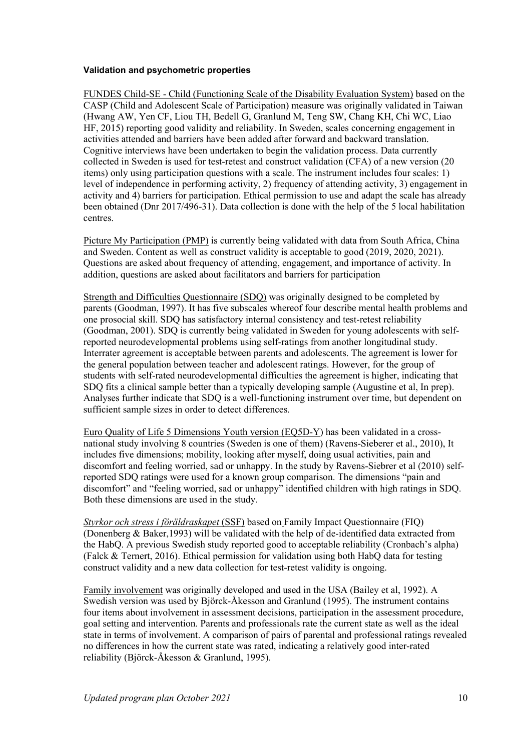#### <span id="page-12-0"></span>**Validation and psychometric properties**

FUNDES Child-SE - Child (Functioning Scale of the Disability Evaluation System) based on the CASP (Child and Adolescent Scale of Participation) measure was originally validated in Taiwan (Hwang AW, Yen CF, Liou TH, Bedell G, Granlund M, Teng SW, Chang KH, Chi WC, Liao HF, 2015) reporting good validity and reliability. In Sweden, scales concerning engagement in activities attended and barriers have been added after forward and backward translation. Cognitive interviews have been undertaken to begin the validation process. Data currently collected in Sweden is used for test-retest and construct validation (CFA) of a new version (20 items) only using participation questions with a scale. The instrument includes four scales: 1) level of independence in performing activity, 2) frequency of attending activity, 3) engagement in activity and 4) barriers for participation. Ethical permission to use and adapt the scale has already been obtained (Dnr 2017/496-31). Data collection is done with the help of the 5 local habilitation centres.

Picture My Participation (PMP) is currently being validated with data from South Africa, China and Sweden. Content as well as construct validity is acceptable to good (2019, 2020, 2021). Questions are asked about frequency of attending, engagement, and importance of activity. In addition, questions are asked about facilitators and barriers for participation

Strength and Difficulties Questionnaire (SDQ) was originally designed to be completed by parents (Goodman, 1997). It has five subscales whereof four describe mental health problems and one prosocial skill. SDQ has satisfactory internal consistency and test-retest reliability (Goodman, 2001). SDQ is currently being validated in Sweden for young adolescents with selfreported neurodevelopmental problems using self-ratings from another longitudinal study. Interrater agreement is acceptable between parents and adolescents. The agreement is lower for the general population between teacher and adolescent ratings. However, for the group of students with self-rated neurodevelopmental difficulties the agreement is higher, indicating that SDQ fits a clinical sample better than a typically developing sample (Augustine et al, In prep). Analyses further indicate that SDQ is a well-functioning instrument over time, but dependent on sufficient sample sizes in order to detect differences.

Euro Quality of Life 5 Dimensions Youth version (EQ5D-Y) has been validated in a crossnational study involving 8 countries (Sweden is one of them) (Ravens-Sieberer et al., 2010), It includes five dimensions; mobility, looking after myself, doing usual activities, pain and discomfort and feeling worried, sad or unhappy. In the study by Ravens-Siebrer et al (2010) selfreported SDQ ratings were used for a known group comparison. The dimensions "pain and discomfort" and "feeling worried, sad or unhappy" identified children with high ratings in SDQ. Both these dimensions are used in the study.

*Styrkor och stress i föräldraskapet* (SSF) based on Family Impact Questionnaire (FIQ) (Donenberg & Baker,1993) will be validated with the help of de-identified data extracted from the HabQ. A previous Swedish study reported good to acceptable reliability (Cronbach's alpha) (Falck & Ternert, 2016). Ethical permission for validation using both HabQ data for testing construct validity and a new data collection for test-retest validity is ongoing.

Family involvement was originally developed and used in the USA (Bailey et al, 1992). A Swedish version was used by Björck-Åkesson and Granlund (1995). The instrument contains four items about involvement in assessment decisions, participation in the assessment procedure, goal setting and intervention. Parents and professionals rate the current state as well as the ideal state in terms of involvement. A comparison of pairs of parental and professional ratings revealed no differences in how the current state was rated, indicating a relatively good inter-rated reliability (Björck-Åkesson & Granlund, 1995).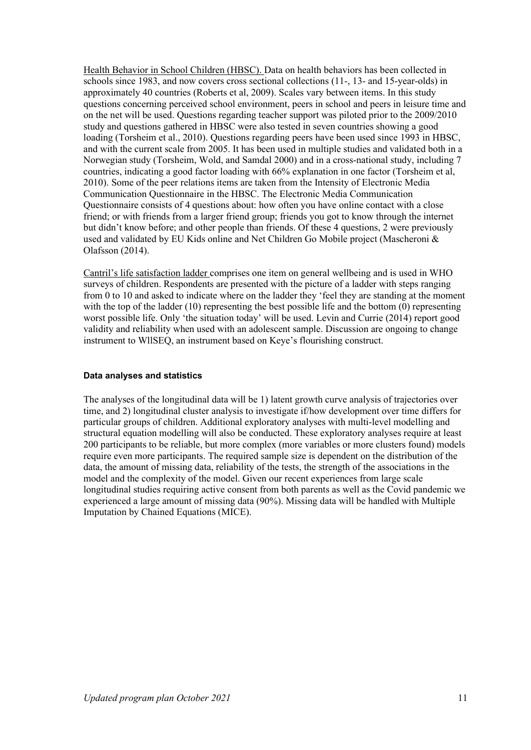Health Behavior in School Children (HBSC). Data on health behaviors has been collected in schools since 1983, and now covers cross sectional collections (11-, 13- and 15-year-olds) in approximately 40 countries (Roberts et al, 2009). Scales vary between items. In this study questions concerning perceived school environment, peers in school and peers in leisure time and on the net will be used. Questions regarding teacher support was piloted prior to the 2009/2010 study and questions gathered in HBSC were also tested in seven countries showing a good loading (Torsheim et al., 2010). Questions regarding peers have been used since 1993 in HBSC, and with the current scale from 2005. It has been used in multiple studies and validated both in a Norwegian study (Torsheim, Wold, and Samdal 2000) and in a cross-national study, including 7 countries, indicating a good factor loading with 66% explanation in one factor (Torsheim et al, 2010). Some of the peer relations items are taken from the Intensity of Electronic Media Communication Questionnaire in the HBSC. The Electronic Media Communication Questionnaire consists of 4 questions about: how often you have online contact with a close friend; or with friends from a larger friend group; friends you got to know through the internet but didn't know before; and other people than friends. Of these 4 questions, 2 were previously used and validated by EU Kids online and Net Children Go Mobile project (Mascheroni & Olafsson (2014).

Cantril's life satisfaction ladder comprises one item on general wellbeing and is used in WHO surveys of children. Respondents are presented with the picture of a ladder with steps ranging from 0 to 10 and asked to indicate where on the ladder they 'feel they are standing at the moment with the top of the ladder (10) representing the best possible life and the bottom (0) representing worst possible life. Only 'the situation today' will be used. Levin and Currie (2014) report good validity and reliability when used with an adolescent sample. Discussion are ongoing to change instrument to WllSEQ, an instrument based on Keye's flourishing construct.

## <span id="page-13-0"></span>**Data analyses and statistics**

The analyses of the longitudinal data will be 1) latent growth curve analysis of trajectories over time, and 2) longitudinal cluster analysis to investigate if/how development over time differs for particular groups of children. Additional exploratory analyses with multi-level modelling and structural equation modelling will also be conducted. These exploratory analyses require at least 200 participants to be reliable, but more complex (more variables or more clusters found) models require even more participants. The required sample size is dependent on the distribution of the data, the amount of missing data, reliability of the tests, the strength of the associations in the model and the complexity of the model. Given our recent experiences from large scale longitudinal studies requiring active consent from both parents as well as the Covid pandemic we experienced a large amount of missing data (90%). Missing data will be handled with Multiple Imputation by Chained Equations (MICE).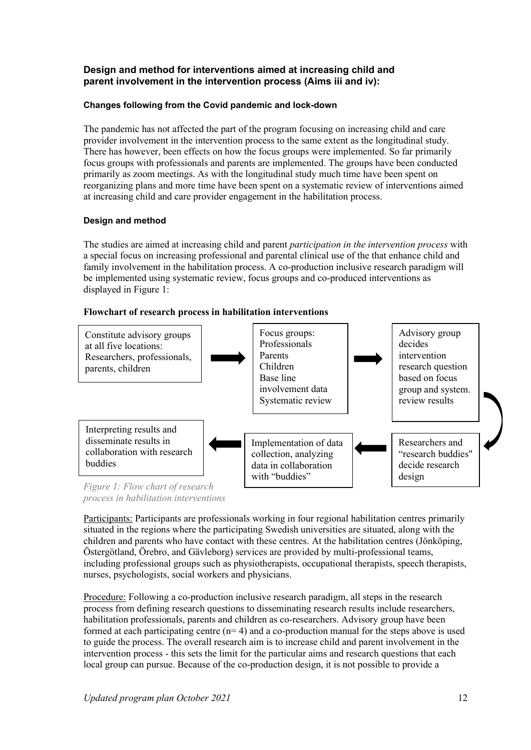## <span id="page-14-0"></span>**Design and method for interventions aimed at increasing child and parent involvement in the intervention process (Aims iii and iv):**

## <span id="page-14-1"></span>**Changes following from the Covid pandemic and lock-down**

The pandemic has not affected the part of the program focusing on increasing child and care provider involvement in the intervention process to the same extent as the longitudinal study. There has however, been effects on how the focus groups were implemented. So far primarily focus groups with professionals and parents are implemented. The groups have been conducted primarily as zoom meetings. As with the longitudinal study much time have been spent on reorganizing plans and more time have been spent on a systematic review of interventions aimed at increasing child and care provider engagement in the habilitation process.

## <span id="page-14-2"></span>**Design and method**

The studies are aimed at increasing child and parent *participation in the intervention process* with a special focus on increasing professional and parental clinical use of the that enhance child and family involvement in the habilitation process. A co-production inclusive research paradigm will be implemented using systematic review, focus groups and co-produced interventions as displayed in Figure 1:

## **Flowchart of research process in habilitation interventions**



<span id="page-14-3"></span>*process in habilitation interventions*

Participants: Participants are professionals working in four regional habilitation centres primarily situated in the regions where the participating Swedish universities are situated, along with the children and parents who have contact with these centres. At the habilitation centres (Jönköping, Östergötland, Örebro, and Gävleborg) services are provided by multi-professional teams, including professional groups such as physiotherapists, occupational therapists, speech therapists, nurses, psychologists, social workers and physicians.

Procedure: Following a co-production inclusive research paradigm, all steps in the research process from defining research questions to disseminating research results include researchers, habilitation professionals, parents and children as co-researchers. Advisory group have been formed at each participating centre  $(n= 4)$  and a co-production manual for the steps above is used to guide the process. The overall research aim is to increase child and parent involvement in the intervention process - this sets the limit for the particular aims and research questions that each local group can pursue. Because of the co-production design, it is not possible to provide a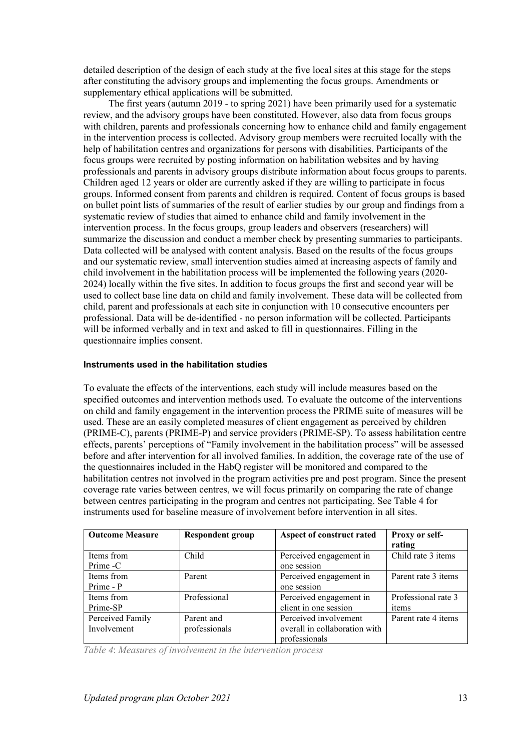detailed description of the design of each study at the five local sites at this stage for the steps after constituting the advisory groups and implementing the focus groups. Amendments or supplementary ethical applications will be submitted.

The first years (autumn 2019 - to spring 2021) have been primarily used for a systematic review, and the advisory groups have been constituted. However, also data from focus groups with children, parents and professionals concerning how to enhance child and family engagement in the intervention process is collected. Advisory group members were recruited locally with the help of habilitation centres and organizations for persons with disabilities. Participants of the focus groups were recruited by posting information on habilitation websites and by having professionals and parents in advisory groups distribute information about focus groups to parents. Children aged 12 years or older are currently asked if they are willing to participate in focus groups. Informed consent from parents and children is required. Content of focus groups is based on bullet point lists of summaries of the result of earlier studies by our group and findings from a systematic review of studies that aimed to enhance child and family involvement in the intervention process. In the focus groups, group leaders and observers (researchers) will summarize the discussion and conduct a member check by presenting summaries to participants. Data collected will be analysed with content analysis. Based on the results of the focus groups and our systematic review, small intervention studies aimed at increasing aspects of family and child involvement in the habilitation process will be implemented the following years (2020- 2024) locally within the five sites. In addition to focus groups the first and second year will be used to collect base line data on child and family involvement. These data will be collected from child, parent and professionals at each site in conjunction with 10 consecutive encounters per professional. Data will be de-identified - no person information will be collected. Participants will be informed verbally and in text and asked to fill in questionnaires. Filling in the questionnaire implies consent.

#### <span id="page-15-0"></span>**Instruments used in the habilitation studies**

To evaluate the effects of the interventions, each study will include measures based on the specified outcomes and intervention methods used. To evaluate the outcome of the interventions on child and family engagement in the intervention process the PRIME suite of measures will be used. These are an easily completed measures of client engagement as perceived by children (PRIME-C), parents (PRIME-P) and service providers (PRIME-SP). To assess habilitation centre effects, parents' perceptions of "Family involvement in the habilitation process" will be assessed before and after intervention for all involved families. In addition, the coverage rate of the use of the questionnaires included in the HabQ register will be monitored and compared to the habilitation centres not involved in the program activities pre and post program. Since the present coverage rate varies between centres, we will focus primarily on comparing the rate of change between centres participating in the program and centres not participating. See [Table 4](#page-15-1) for instruments used for baseline measure of involvement before intervention in all sites.

| <b>Outcome Measure</b> | <b>Respondent group</b> | Aspect of construct rated     | Proxy or self-<br>rating |
|------------------------|-------------------------|-------------------------------|--------------------------|
| Items from             | Child                   | Perceived engagement in       | Child rate 3 items       |
| Prime -C               |                         | one session                   |                          |
| Items from             | Parent                  | Perceived engagement in       | Parent rate 3 items      |
| Prime - P              |                         | one session                   |                          |
| Items from             | Professional            | Perceived engagement in       | Professional rate 3      |
| Prime-SP               |                         | client in one session         | items                    |
| Perceived Family       | Parent and              | Perceived involvement         | Parent rate 4 items      |
| Involvement            | professionals           | overall in collaboration with |                          |
|                        |                         | professionals                 |                          |

<span id="page-15-1"></span>*Table 4*: *Measures of involvement in the intervention process*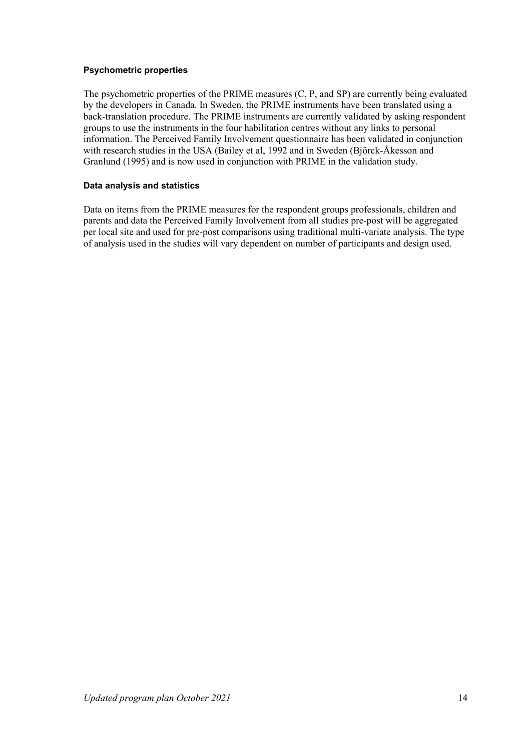#### <span id="page-16-0"></span>**Psychometric properties**

The psychometric properties of the PRIME measures (C, P, and SP) are currently being evaluated by the developers in Canada. In Sweden, the PRIME instruments have been translated using a back-translation procedure. The PRIME instruments are currently validated by asking respondent groups to use the instruments in the four habilitation centres without any links to personal information. The Perceived Family Involvement questionnaire has been validated in conjunction with research studies in the USA (Bailey et al, 1992 and in Sweden (Björck-Åkesson and Granlund (1995) and is now used in conjunction with PRIME in the validation study.

## <span id="page-16-1"></span>**Data analysis and statistics**

Data on items from the PRIME measures for the respondent groups professionals, children and parents and data the Perceived Family Involvement from all studies pre-post will be aggregated per local site and used for pre-post comparisons using traditional multi-variate analysis. The type of analysis used in the studies will vary dependent on number of participants and design used.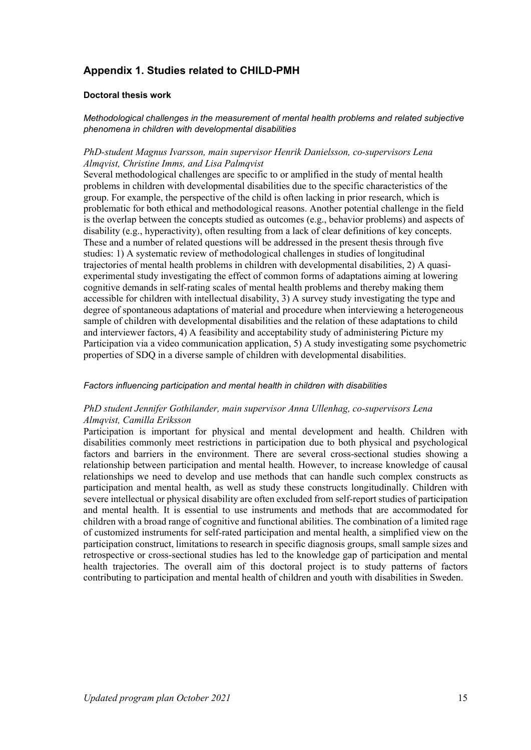## <span id="page-17-0"></span>**Appendix 1. Studies related to CHILD-PMH**

#### <span id="page-17-1"></span>**Doctoral thesis work**

<span id="page-17-2"></span>*Methodological challenges in the measurement of mental health problems and related subjective phenomena in children with developmental disabilities* 

#### *PhD-student Magnus Ivarsson, main supervisor Henrik Danielsson, co-supervisors Lena Almqvist, Christine Imms, and Lisa Palmqvist*

Several methodological challenges are specific to or amplified in the study of mental health problems in children with developmental disabilities due to the specific characteristics of the group. For example, the perspective of the child is often lacking in prior research, which is problematic for both ethical and methodological reasons. Another potential challenge in the field is the overlap between the concepts studied as outcomes (e.g., behavior problems) and aspects of disability (e.g., hyperactivity), often resulting from a lack of clear definitions of key concepts. These and a number of related questions will be addressed in the present thesis through five studies: 1) A systematic review of methodological challenges in studies of longitudinal trajectories of mental health problems in children with developmental disabilities, 2) A quasiexperimental study investigating the effect of common forms of adaptations aiming at lowering cognitive demands in self-rating scales of mental health problems and thereby making them accessible for children with intellectual disability, 3) A survey study investigating the type and degree of spontaneous adaptations of material and procedure when interviewing a heterogeneous sample of children with developmental disabilities and the relation of these adaptations to child and interviewer factors, 4) A feasibility and acceptability study of administering Picture my Participation via a video communication application, 5) A study investigating some psychometric properties of SDQ in a diverse sample of children with developmental disabilities.

#### <span id="page-17-3"></span>*Factors influencing participation and mental health in children with disabilities*

#### *PhD student Jennifer Gothilander, main supervisor Anna Ullenhag, co-supervisors Lena Almqvist, Camilla Eriksson*

Participation is important for physical and mental development and health. Children with disabilities commonly meet restrictions in participation due to both physical and psychological factors and barriers in the environment. There are several cross-sectional studies showing a relationship between participation and mental health. However, to increase knowledge of causal relationships we need to develop and use methods that can handle such complex constructs as participation and mental health, as well as study these constructs longitudinally. Children with severe intellectual or physical disability are often excluded from self-report studies of participation and mental health. It is essential to use instruments and methods that are accommodated for children with a broad range of cognitive and functional abilities. The combination of a limited rage of customized instruments for self-rated participation and mental health, a simplified view on the participation construct, limitations to research in specific diagnosis groups, small sample sizes and retrospective or cross-sectional studies has led to the knowledge gap of participation and mental health trajectories. The overall aim of this doctoral project is to study patterns of factors contributing to participation and mental health of children and youth with disabilities in Sweden.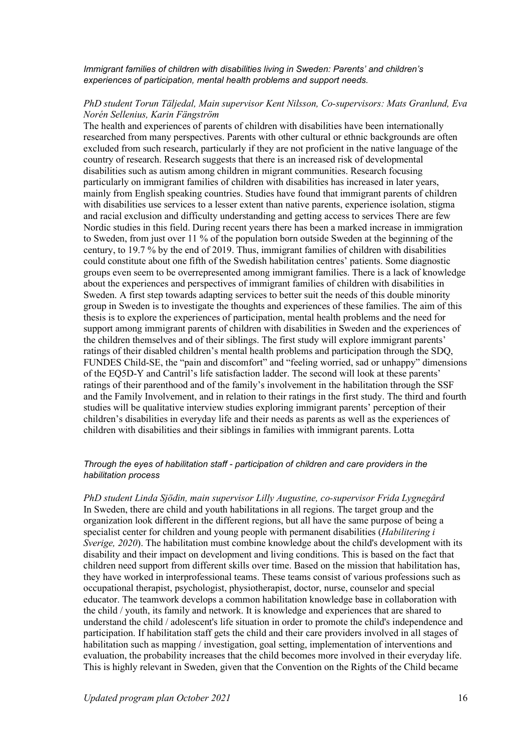#### <span id="page-18-0"></span>*Immigrant families of children with disabilities living in Sweden: Parents' and children's experiences of participation, mental health problems and support needs.*

#### *PhD student Torun Täljedal, Main supervisor Kent Nilsson, Co-supervisors: Mats Granlund, Eva Norén Sellenius, Karin Fängström*

The health and experiences of parents of children with disabilities have been internationally researched from many perspectives. Parents with other cultural or ethnic backgrounds are often excluded from such research, particularly if they are not proficient in the native language of the country of research. Research suggests that there is an increased risk of developmental disabilities such as autism among children in migrant communities. Research focusing particularly on immigrant families of children with disabilities has increased in later years, mainly from English speaking countries. Studies have found that immigrant parents of children with disabilities use services to a lesser extent than native parents, experience isolation, stigma and racial exclusion and difficulty understanding and getting access to services There are few Nordic studies in this field. During recent years there has been a marked increase in immigration to Sweden, from just over 11 % of the population born outside Sweden at the beginning of the century, to 19.7 % by the end of 2019. Thus, immigrant families of children with disabilities could constitute about one fifth of the Swedish habilitation centres' patients. Some diagnostic groups even seem to be overrepresented among immigrant families. There is a lack of knowledge about the experiences and perspectives of immigrant families of children with disabilities in Sweden. A first step towards adapting services to better suit the needs of this double minority group in Sweden is to investigate the thoughts and experiences of these families. The aim of this thesis is to explore the experiences of participation, mental health problems and the need for support among immigrant parents of children with disabilities in Sweden and the experiences of the children themselves and of their siblings. The first study will explore immigrant parents' ratings of their disabled children's mental health problems and participation through the SDQ, FUNDES Child-SE, the "pain and discomfort" and "feeling worried, sad or unhappy" dimensions of the EQ5D-Y and Cantril's life satisfaction ladder. The second will look at these parents' ratings of their parenthood and of the family's involvement in the habilitation through the SSF and the Family Involvement, and in relation to their ratings in the first study. The third and fourth studies will be qualitative interview studies exploring immigrant parents' perception of their children's disabilities in everyday life and their needs as parents as well as the experiences of children with disabilities and their siblings in families with immigrant parents. Lotta

## <span id="page-18-1"></span>*Through the eyes of habilitation staff - participation of children and care providers in the habilitation process*

*PhD student Linda Sjödin, main supervisor Lilly Augustine, co-supervisor Frida Lygnegård*  In Sweden, there are child and youth habilitations in all regions. The target group and the organization look different in the different regions, but all have the same purpose of being a specialist center for children and young people with permanent disabilities (*Habilitering i Sverige, 2020*). The habilitation must combine knowledge about the child's development with its disability and their impact on development and living conditions. This is based on the fact that children need support from different skills over time. Based on the mission that habilitation has, they have worked in interprofessional teams. These teams consist of various professions such as occupational therapist, psychologist, physiotherapist, doctor, nurse, counselor and special educator. The teamwork develops a common habilitation knowledge base in collaboration with the child / youth, its family and network. It is knowledge and experiences that are shared to understand the child / adolescent's life situation in order to promote the child's independence and participation. If habilitation staff gets the child and their care providers involved in all stages of habilitation such as mapping / investigation, goal setting, implementation of interventions and evaluation, the probability increases that the child becomes more involved in their everyday life. This is highly relevant in Sweden, given that the Convention on the Rights of the Child became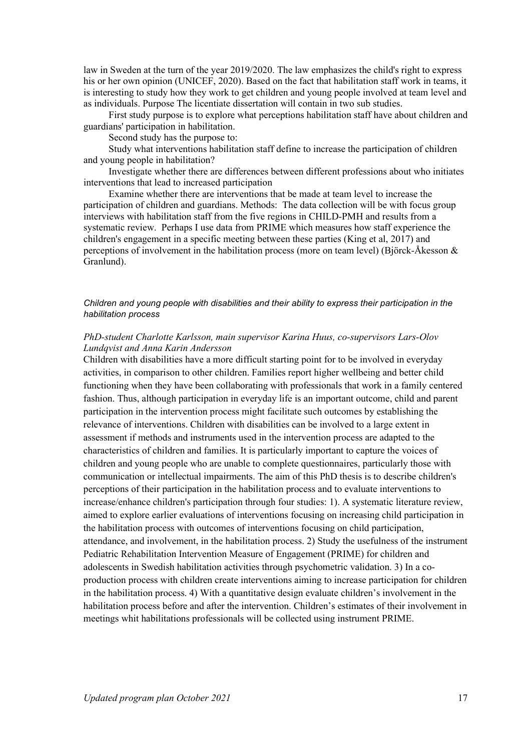law in Sweden at the turn of the year 2019/2020. The law emphasizes the child's right to express his or her own opinion (UNICEF, 2020). Based on the fact that habilitation staff work in teams, it is interesting to study how they work to get children and young people involved at team level and as individuals. Purpose The licentiate dissertation will contain in two sub studies.

First study purpose is to explore what perceptions habilitation staff have about children and guardians' participation in habilitation.

Second study has the purpose to:

Study what interventions habilitation staff define to increase the participation of children and young people in habilitation?

Investigate whether there are differences between different professions about who initiates interventions that lead to increased participation

Examine whether there are interventions that be made at team level to increase the participation of children and guardians. Methods: The data collection will be with focus group interviews with habilitation staff from the five regions in CHILD-PMH and results from a systematic review. Perhaps I use data from PRIME which measures how staff experience the children's engagement in a specific meeting between these parties (King et al, 2017) and perceptions of involvement in the habilitation process (more on team level) (Björck-Åkesson & Granlund).

#### <span id="page-19-0"></span>*Children and young people with disabilities and their ability to express their participation in the habilitation process*

#### *PhD-student Charlotte Karlsson, main supervisor Karina Huus, co-supervisors Lars-Olov Lundqvist and Anna Karin Andersson*

Children with disabilities have a more difficult starting point for to be involved in everyday activities, in comparison to other children. Families report higher wellbeing and better child functioning when they have been collaborating with professionals that work in a family centered fashion. Thus, although participation in everyday life is an important outcome, child and parent participation in the intervention process might facilitate such outcomes by establishing the relevance of interventions. Children with disabilities can be involved to a large extent in assessment if methods and instruments used in the intervention process are adapted to the characteristics of children and families. It is particularly important to capture the voices of children and young people who are unable to complete questionnaires, particularly those with communication or intellectual impairments. The aim of this PhD thesis is to describe children's perceptions of their participation in the habilitation process and to evaluate interventions to increase/enhance children's participation through four studies: 1). A systematic literature review, aimed to explore earlier evaluations of interventions focusing on increasing child participation in the habilitation process with outcomes of interventions focusing on child participation, attendance, and involvement, in the habilitation process. 2) Study the usefulness of the instrument Pediatric Rehabilitation Intervention Measure of Engagement (PRIME) for children and adolescents in Swedish habilitation activities through psychometric validation. 3) In a coproduction process with children create interventions aiming to increase participation for children in the habilitation process. 4) With a quantitative design evaluate children's involvement in the habilitation process before and after the intervention. Children's estimates of their involvement in meetings whit habilitations professionals will be collected using instrument PRIME.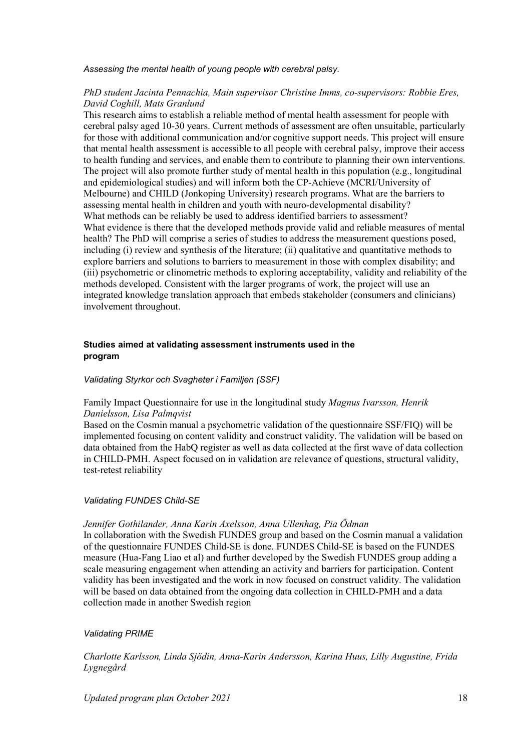#### <span id="page-20-0"></span>*Assessing the mental health of young people with cerebral palsy.*

## *PhD student Jacinta Pennachia, Main supervisor Christine Imms, co-supervisors: Robbie Eres, David Coghill, Mats Granlund*

This research aims to establish a reliable method of mental health assessment for people with cerebral palsy aged 10-30 years. Current methods of assessment are often unsuitable, particularly for those with additional communication and/or cognitive support needs. This project will ensure that mental health assessment is accessible to all people with cerebral palsy, improve their access to health funding and services, and enable them to contribute to planning their own interventions. The project will also promote further study of mental health in this population (e.g., longitudinal and epidemiological studies) and will inform both the CP-Achieve (MCRI/University of Melbourne) and CHILD (Jonkoping University) research programs. What are the barriers to assessing mental health in children and youth with neuro-developmental disability? What methods can be reliably be used to address identified barriers to assessment? What evidence is there that the developed methods provide valid and reliable measures of mental health? The PhD will comprise a series of studies to address the measurement questions posed, including (i) review and synthesis of the literature; (ii) qualitative and quantitative methods to explore barriers and solutions to barriers to measurement in those with complex disability; and (iii) psychometric or clinometric methods to exploring acceptability, validity and reliability of the methods developed. Consistent with the larger programs of work, the project will use an integrated knowledge translation approach that embeds stakeholder (consumers and clinicians) involvement throughout.

#### <span id="page-20-1"></span>**Studies aimed at validating assessment instruments used in the program**

#### <span id="page-20-2"></span>*Validating Styrkor och Svagheter i Familjen (SSF)*

## Family Impact Questionnaire for use in the longitudinal study *Magnus Ivarsson, Henrik Danielsson, Lisa Palmqvist*

Based on the Cosmin manual a psychometric validation of the questionnaire SSF/FIQ) will be implemented focusing on content validity and construct validity. The validation will be based on data obtained from the HabQ register as well as data collected at the first wave of data collection in CHILD-PMH. Aspect focused on in validation are relevance of questions, structural validity, test-retest reliability

#### <span id="page-20-3"></span>*Validating FUNDES Child-SE*

#### *Jennifer Gothilander, Anna Karin Axelsson, Anna Ullenhag, Pia Ödman*

In collaboration with the Swedish FUNDES group and based on the Cosmin manual a validation of the questionnaire FUNDES Child-SE is done. FUNDES Child-SE is based on the FUNDES measure (Hua-Fang Liao et al) and further developed by the Swedish FUNDES group adding a scale measuring engagement when attending an activity and barriers for participation. Content validity has been investigated and the work in now focused on construct validity. The validation will be based on data obtained from the ongoing data collection in CHILD-PMH and a data collection made in another Swedish region

#### <span id="page-20-4"></span>*Validating PRIME*

*Charlotte Karlsson, Linda Sjödin, Anna-Karin Andersson, Karina Huus, Lilly Augustine, Frida Lygnegård*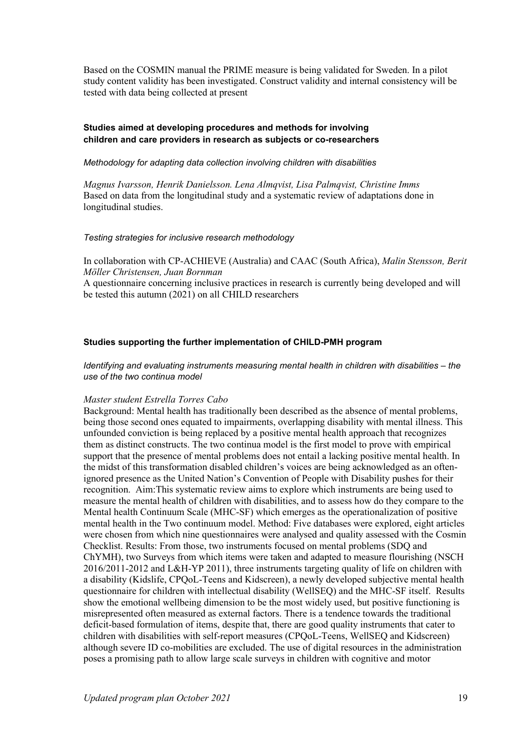Based on the COSMIN manual the PRIME measure is being validated for Sweden. In a pilot study content validity has been investigated. Construct validity and internal consistency will be tested with data being collected at present

## <span id="page-21-0"></span>**Studies aimed at developing procedures and methods for involving children and care providers in research as subjects or co-researchers**

#### <span id="page-21-1"></span>*Methodology for adapting data collection involving children with disabilities*

*Magnus Ivarsson, Henrik Danielsson. Lena Almqvist, Lisa Palmqvist, Christine Imms* Based on data from the longitudinal study and a systematic review of adaptations done in longitudinal studies.

#### <span id="page-21-2"></span>*Testing strategies for inclusive research methodology*

In collaboration with CP-ACHIEVE (Australia) and CAAC (South Africa), *Malin Stensson, Berit Möller Christensen, Juan Bornman*

A questionnaire concerning inclusive practices in research is currently being developed and will be tested this autumn (2021) on all CHILD researchers

#### <span id="page-21-3"></span>**Studies supporting the further implementation of CHILD-PMH program**

<span id="page-21-4"></span>*Identifying and evaluating instruments measuring mental health in children with disabilities – the use of the two continua model* 

#### *Master student Estrella Torres Cabo*

Background: Mental health has traditionally been described as the absence of mental problems, being those second ones equated to impairments, overlapping disability with mental illness. This unfounded conviction is being replaced by a positive mental health approach that recognizes them as distinct constructs. The two continua model is the first model to prove with empirical support that the presence of mental problems does not entail a lacking positive mental health. In the midst of this transformation disabled children's voices are being acknowledged as an oftenignored presence as the United Nation's Convention of People with Disability pushes for their recognition. Aim:This systematic review aims to explore which instruments are being used to measure the mental health of children with disabilities, and to assess how do they compare to the Mental health Continuum Scale (MHC-SF) which emerges as the operationalization of positive mental health in the Two continuum model. Method: Five databases were explored, eight articles were chosen from which nine questionnaires were analysed and quality assessed with the Cosmin Checklist. Results: From those, two instruments focused on mental problems (SDQ and ChYMH), two Surveys from which items were taken and adapted to measure flourishing (NSCH 2016/2011-2012 and L&H-YP 2011), three instruments targeting quality of life on children with a disability (Kidslife, CPQoL-Teens and Kidscreen), a newly developed subjective mental health questionnaire for children with intellectual disability (WellSEQ) and the MHC-SF itself. Results show the emotional wellbeing dimension to be the most widely used, but positive functioning is misrepresented often measured as external factors. There is a tendence towards the traditional deficit-based formulation of items, despite that, there are good quality instruments that cater to children with disabilities with self-report measures (CPQoL-Teens, WellSEQ and Kidscreen) although severe ID co-mobilities are excluded. The use of digital resources in the administration poses a promising path to allow large scale surveys in children with cognitive and motor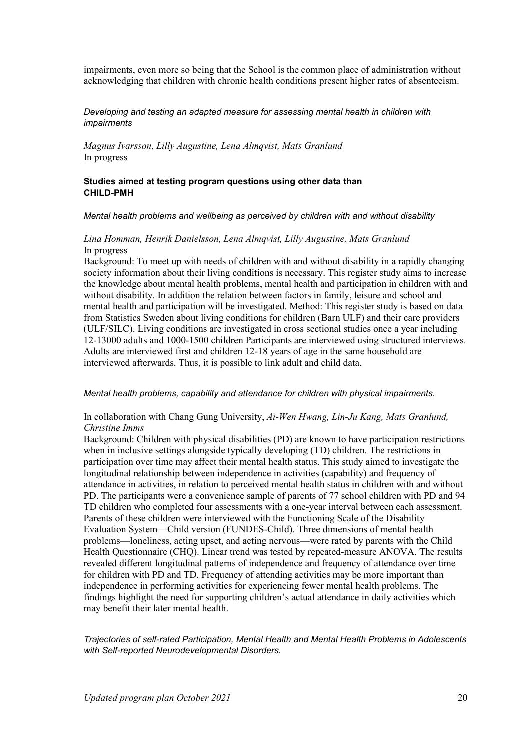impairments, even more so being that the School is the common place of administration without acknowledging that children with chronic health conditions present higher rates of absenteeism.

<span id="page-22-0"></span>*Developing and testing an adapted measure for assessing mental health in children with impairments* 

*Magnus Ivarsson, Lilly Augustine, Lena Almqvist, Mats Granlund* In progress

#### <span id="page-22-1"></span>**Studies aimed at testing program questions using other data than CHILD-PMH**

#### <span id="page-22-2"></span>*Mental health problems and wellbeing as perceived by children with and without disability*

#### *Lina Homman, Henrik Danielsson, Lena Almqvist, Lilly Augustine, Mats Granlund* In progress

Background: To meet up with needs of children with and without disability in a rapidly changing society information about their living conditions is necessary. This register study aims to increase the knowledge about mental health problems, mental health and participation in children with and without disability. In addition the relation between factors in family, leisure and school and mental health and participation will be investigated. Method: This register study is based on data from Statistics Sweden about living conditions for children (Barn ULF) and their care providers (ULF/SILC). Living conditions are investigated in cross sectional studies once a year including 12-13000 adults and 1000-1500 children Participants are interviewed using structured interviews. Adults are interviewed first and children 12-18 years of age in the same household are interviewed afterwards. Thus, it is possible to link adult and child data.

#### <span id="page-22-3"></span>*Mental health problems, capability and attendance for children with physical impairments.*

#### In collaboration with Chang Gung University, *Ai-Wen Hwang, Lin-Ju Kang, Mats Granlund, Christine Imms*

Background: Children with physical disabilities (PD) are known to have participation restrictions when in inclusive settings alongside typically developing (TD) children. The restrictions in participation over time may affect their mental health status. This study aimed to investigate the longitudinal relationship between independence in activities (capability) and frequency of attendance in activities, in relation to perceived mental health status in children with and without PD. The participants were a convenience sample of parents of 77 school children with PD and 94 TD children who completed four assessments with a one-year interval between each assessment. Parents of these children were interviewed with the Functioning Scale of the Disability Evaluation System—Child version (FUNDES-Child). Three dimensions of mental health problems—loneliness, acting upset, and acting nervous—were rated by parents with the Child Health Questionnaire (CHQ). Linear trend was tested by repeated-measure ANOVA. The results revealed different longitudinal patterns of independence and frequency of attendance over time for children with PD and TD. Frequency of attending activities may be more important than independence in performing activities for experiencing fewer mental health problems. The findings highlight the need for supporting children's actual attendance in daily activities which may benefit their later mental health.

<span id="page-22-4"></span>*Trajectories of self-rated Participation, Mental Health and Mental Health Problems in Adolescents with Self-reported Neurodevelopmental Disorders.*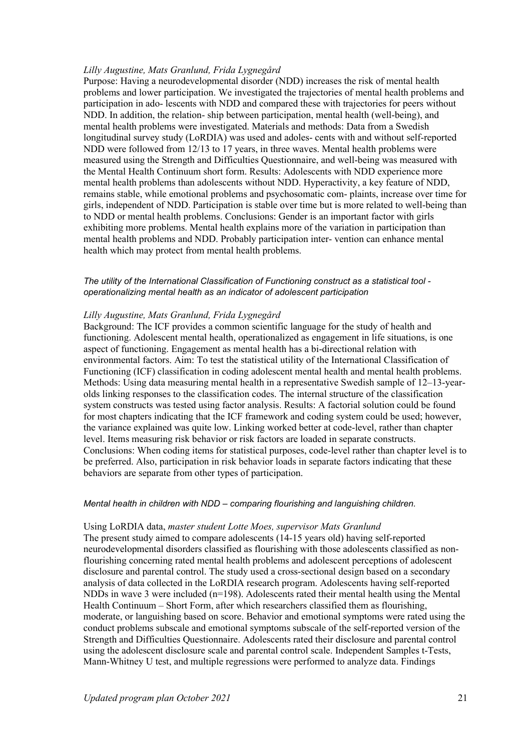#### *Lilly Augustine, Mats Granlund, Frida Lygnegård*

Purpose: Having a neurodevelopmental disorder (NDD) increases the risk of mental health problems and lower participation. We investigated the trajectories of mental health problems and participation in ado- lescents with NDD and compared these with trajectories for peers without NDD. In addition, the relation- ship between participation, mental health (well-being), and mental health problems were investigated. Materials and methods: Data from a Swedish longitudinal survey study (LoRDIA) was used and adoles- cents with and without self-reported NDD were followed from 12/13 to 17 years, in three waves. Mental health problems were measured using the Strength and Difficulties Questionnaire, and well-being was measured with the Mental Health Continuum short form. Results: Adolescents with NDD experience more mental health problems than adolescents without NDD. Hyperactivity, a key feature of NDD, remains stable, while emotional problems and psychosomatic com- plaints, increase over time for girls, independent of NDD. Participation is stable over time but is more related to well-being than to NDD or mental health problems. Conclusions: Gender is an important factor with girls exhibiting more problems. Mental health explains more of the variation in participation than mental health problems and NDD. Probably participation inter- vention can enhance mental health which may protect from mental health problems.

#### <span id="page-23-0"></span>*The utility of the International Classification of Functioning construct as a statistical tool operationalizing mental health as an indicator of adolescent participation*

#### *Lilly Augustine, Mats Granlund, Frida Lygnegård*

Background: The ICF provides a common scientific language for the study of health and functioning. Adolescent mental health, operationalized as engagement in life situations, is one aspect of functioning. Engagement as mental health has a bi-directional relation with environmental factors. Aim: To test the statistical utility of the International Classification of Functioning (ICF) classification in coding adolescent mental health and mental health problems. Methods: Using data measuring mental health in a representative Swedish sample of 12–13-yearolds linking responses to the classification codes. The internal structure of the classification system constructs was tested using factor analysis. Results: A factorial solution could be found for most chapters indicating that the ICF framework and coding system could be used; however, the variance explained was quite low. Linking worked better at code-level, rather than chapter level. Items measuring risk behavior or risk factors are loaded in separate constructs. Conclusions: When coding items for statistical purposes, code-level rather than chapter level is to be preferred. Also, participation in risk behavior loads in separate factors indicating that these behaviors are separate from other types of participation.

#### <span id="page-23-1"></span>*Mental health in children with NDD – comparing flourishing and languishing children.*

#### Using LoRDIA data, *master student Lotte Moes, supervisor Mats Granlund*

The present study aimed to compare adolescents (14-15 years old) having self-reported neurodevelopmental disorders classified as flourishing with those adolescents classified as nonflourishing concerning rated mental health problems and adolescent perceptions of adolescent disclosure and parental control. The study used a cross-sectional design based on a secondary analysis of data collected in the LoRDIA research program. Adolescents having self-reported NDDs in wave 3 were included (n=198). Adolescents rated their mental health using the Mental Health Continuum – Short Form, after which researchers classified them as flourishing, moderate, or languishing based on score. Behavior and emotional symptoms were rated using the conduct problems subscale and emotional symptoms subscale of the self-reported version of the Strength and Difficulties Questionnaire. Adolescents rated their disclosure and parental control using the adolescent disclosure scale and parental control scale. Independent Samples t-Tests, Mann-Whitney U test, and multiple regressions were performed to analyze data. Findings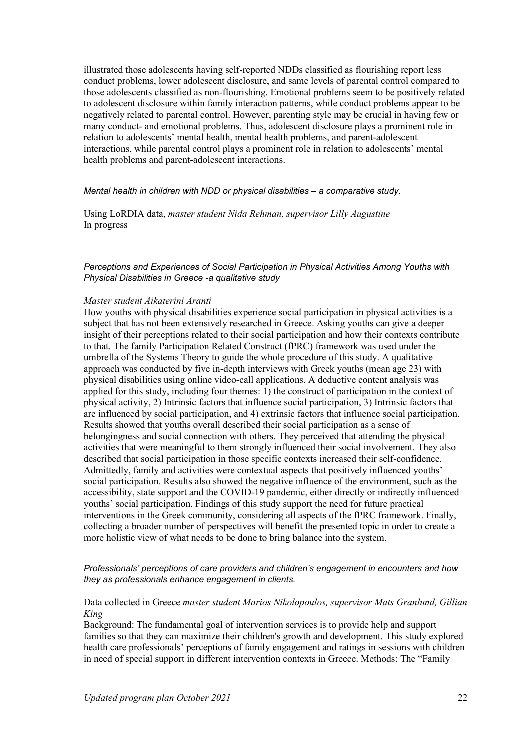illustrated those adolescents having self-reported NDDs classified as flourishing report less conduct problems, lower adolescent disclosure, and same levels of parental control compared to those adolescents classified as non-flourishing. Emotional problems seem to be positively related to adolescent disclosure within family interaction patterns, while conduct problems appear to be negatively related to parental control. However, parenting style may be crucial in having few or many conduct- and emotional problems. Thus, adolescent disclosure plays a prominent role in relation to adolescents' mental health, mental health problems, and parent-adolescent interactions, while parental control plays a prominent role in relation to adolescents' mental health problems and parent-adolescent interactions.

#### <span id="page-24-0"></span>*Mental health in children with NDD or physical disabilities – a comparative study.*

Using LoRDIA data, *master student Nida Rehman, supervisor Lilly Augustine* In progress

#### <span id="page-24-1"></span>*Perceptions and Experiences of Social Participation in Physical Activities Among Youths with Physical Disabilities in Greece -a qualitative study*

#### *Master student Aikaterini Aranti*

How youths with physical disabilities experience social participation in physical activities is a subject that has not been extensively researched in Greece. Asking youths can give a deeper insight of their perceptions related to their social participation and how their contexts contribute to that. The family Participation Related Construct (fPRC) framework was used under the umbrella of the Systems Theory to guide the whole procedure of this study. A qualitative approach was conducted by five in-depth interviews with Greek youths (mean age 23) with physical disabilities using online video-call applications. A deductive content analysis was applied for this study, including four themes: 1) the construct of participation in the context of physical activity, 2) Intrinsic factors that influence social participation, 3) Intrinsic factors that are influenced by social participation, and 4) extrinsic factors that influence social participation. Results showed that youths overall described their social participation as a sense of belongingness and social connection with others. They perceived that attending the physical activities that were meaningful to them strongly influenced their social involvement. They also described that social participation in those specific contexts increased their self-confidence. Admittedly, family and activities were contextual aspects that positively influenced youths' social participation. Results also showed the negative influence of the environment, such as the accessibility, state support and the COVID-19 pandemic, either directly or indirectly influenced youths' social participation. Findings of this study support the need for future practical interventions in the Greek community, considering all aspects of the fPRC framework. Finally, collecting a broader number of perspectives will benefit the presented topic in order to create a more holistic view of what needs to be done to bring balance into the system.

#### <span id="page-24-2"></span>*Professionals' perceptions of care providers and children's engagement in encounters and how they as professionals enhance engagement in clients.*

## Data collected in Greece *master student Marios Nikolopoulos, supervisor Mats Granlund, Gillian King*

Background: The fundamental goal of intervention services is to provide help and support families so that they can maximize their children's growth and development. This study explored health care professionals' perceptions of family engagement and ratings in sessions with children in need of special support in different intervention contexts in Greece. Methods: The "Family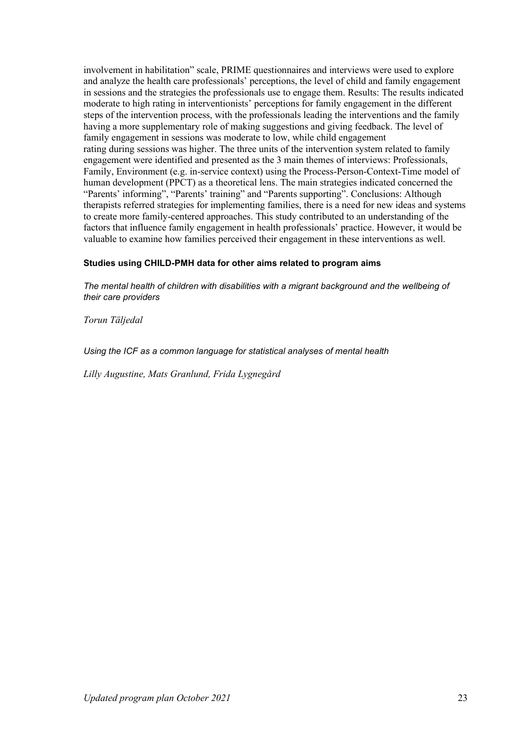involvement in habilitation" scale, PRIME questionnaires and interviews were used to explore and analyze the health care professionals' perceptions, the level of child and family engagement in sessions and the strategies the professionals use to engage them. Results: The results indicated moderate to high rating in interventionists' perceptions for family engagement in the different steps of the intervention process, with the professionals leading the interventions and the family having a more supplementary role of making suggestions and giving feedback. The level of family engagement in sessions was moderate to low, while child engagement rating during sessions was higher. The three units of the intervention system related to family engagement were identified and presented as the 3 main themes of interviews: Professionals, Family, Environment (e.g. in-service context) using the Process-Person-Context-Time model of human development (PPCT) as a theoretical lens. The main strategies indicated concerned the "Parents' informing", "Parents' training" and "Parents supporting". Conclusions: Although therapists referred strategies for implementing families, there is a need for new ideas and systems to create more family-centered approaches. This study contributed to an understanding of the factors that influence family engagement in health professionals' practice. However, it would be valuable to examine how families perceived their engagement in these interventions as well.

## <span id="page-25-0"></span>**Studies using CHILD-PMH data for other aims related to program aims**

<span id="page-25-1"></span>*The mental health of children with disabilities with a migrant background and the wellbeing of their care providers* 

*Torun Täljedal*

<span id="page-25-2"></span>*Using the ICF as a common language for statistical analyses of mental health* 

*Lilly Augustine, Mats Granlund, Frida Lygnegård*